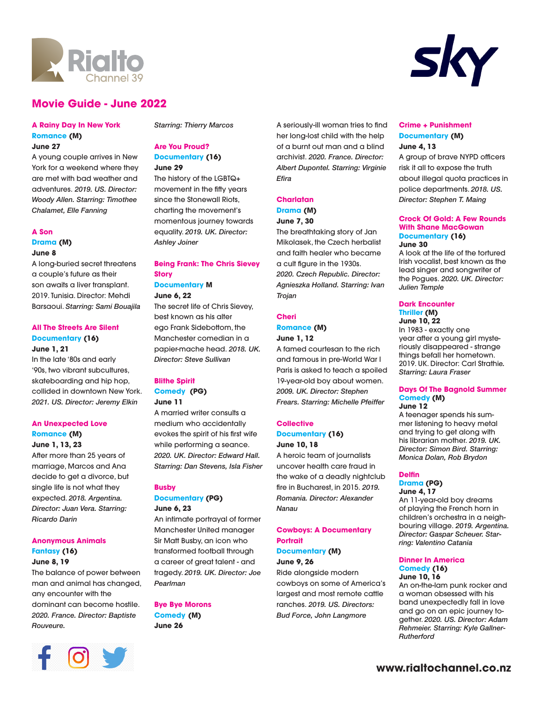



## **Movie Guide - June 2022**

## **A Rainy Day In New York Romance (M) June 27**

A young couple arrives in New York for a weekend where they are met with bad weather and adventures. *2019. US. Director: Woody Allen. Starring: Timothee Chalamet, Elle Fanning*

## **A Son Drama (M)**

## **June 8**

A long-buried secret threatens a couple's future as their son awaits a liver transplant. 2019. Tunisia. Director: Mehdi Barsaoui. *Starring: Sami Bouajila*

## **All The Streets Are Silent Documentary (16) June 1, 21**

In the late '80s and early '90s, two vibrant subcultures, skateboarding and hip hop, collided in downtown New York. *2021. US. Director: Jeremy Elkin*

## **An Unexpected Love Romance (M)**

**June 1, 13, 23** After more than 25 years of marriage, Marcos and Ana decide to get a divorce, but single life is not what they

expected. *2018. Argentina. Director: Juan Vera. Starring: Ricardo Darin*

## **Anonymous Animals Fantasy (16)**

**June 8, 19**

The balance of power between man and animal has changed, any encounter with the dominant can become hostile. *2020. France. Director: Baptiste Rouveure.* 



*Starring: Thierry Marcos*

## **Are You Proud? Documentary (16) June 29**

The history of the LGBTQ+ movement in the fifty years since the Stonewall Riots, charting the movement's momentous journey towards equality. *2019. UK. Director: Ashley Joiner*

## **Being Frank: The Chris Sievey Story**

**Documentary M June 6, 22**

The secret life of Chris Sievey, best known as his alter ego Frank Sidebottom, the Manchester comedian in a papier-mache head. *2018. UK. Director: Steve Sullivan*

## **Blithe Spirit**

## **Comedy (PG)**

**June 11**

A married writer consults a medium who accidentally evokes the spirit of his first wife while performing a seance. *2020. UK. Director: Edward Hall. Starring: Dan Stevens, Isla Fisher*

## **Busby**

## **Documentary (PG)**

**June 6, 23**

An intimate portrayal of former Manchester United manager Sir Matt Busby, an icon who transformed football through a career of great talent - and tragedy. *2019. UK. Director: Joe Pearlman*

**Bye Bye Morons Comedy (M)**

**June 26**

A seriously-ill woman tries to find her long-lost child with the help of a burnt out man and a blind archivist. *2020. France. Director: Albert Dupontel. Starring: Virginie Efira*

## **Charlatan**

## **Drama (M) June 7, 30**

The breathtaking story of Jan Mikolasek, the Czech herbalist and faith healer who became a cult figure in the 1930s. *2020. Czech Republic. Director: Agnieszka Holland. Starring: Ivan Trojan*

## **Cheri**

## **Romance (M) June 1, 12**

A famed courtesan to the rich and famous in pre-World War I Paris is asked to teach a spoiled 19-year-old boy about women. *2009. UK. Director: Stephen Frears. Starring: Michelle Pfeiffer*

## **Collective Documentary (16)**

**June 10, 18**

A heroic team of journalists uncover health care fraud in the wake of a deadly nightclub fire in Bucharest, in 2015. *2019. Romania. Director: Alexander Nanau*

## **Cowboys: A Documentary Portrait Documentary (M)**

**June 9, 26**

Ride alongside modern cowboys on some of America's largest and most remote cattle ranches. *2019. US. Directors: Bud Force, John Langmore*

## **Crime + Punishment Documentary (M) June 4, 13**

A group of brave NYPD officers risk it all to expose the truth about illegal quota practices in police departments. *2018. US. Director: Stephen T. Maing*

#### **Crock Of Gold: A Few Rounds With Shane MacGowan Documentary (16) June 30**

A look at the life of the tortured Irish vocalist, best known as the lead singer and songwriter of the Pogues. *2020. UK. Director: Julien Temple*

## **Dark Encounter Thriller (M)**

**June 10, 22** In 1983 - exactly one year after a young girl mysteriously disappeared - strange things befall her hometown. 2019. UK. Director: Carl Strathi*e. Starring: Laura Fraser*

#### **Days Of The Bagnold Summer Comedy (M) June 12**

A teenager spends his summer listening to heavy metal and trying to get along with his librarian mother. *2019. UK. Director: Simon Bird. Starring: Monica Dolan, Rob Brydon*

## **Delfin Drama (PG)**

**June 4, 17**

An 11-year-old boy dreams of playing the French horn in children's orchestra in a neighbouring village. *2019. Argentina. Director: Gaspar Scheuer. Starring: Valentino Catania*

## **Dinner In America Comedy (16) June 10, 16**

An on-the-lam punk rocker and a woman obsessed with his band unexpectedly fall in love and go on an epic journey together. *2020. US. Director: Adam Rehmeier. Starring: Kyle Gallner-Rutherford*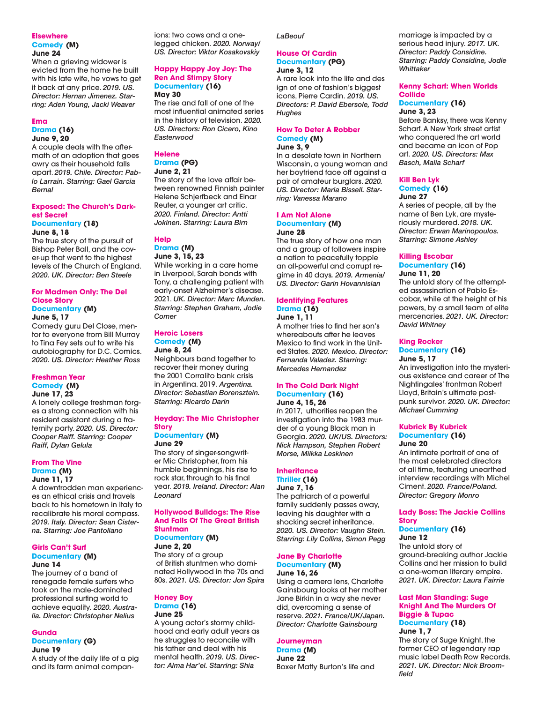#### **Elsewhere Comedy (M) June 24**

When a grieving widower is evicted from the home he built with his late wife, he vows to get it back at any price. *2019. US. Director: Hernan Jimenez. Starring: Aden Young, Jacki Weaver*

## **Ema Drama (16) June 9, 20**

## A couple deals with the aftermath of an adoption that goes awry as their household falls apart. *2019. Chile. Director: Pablo Larrain. Starring: Gael Garcia Bernal*

## **Exposed: The Church's Darkest Secret Documentary (18)**

#### **June 8, 18**

The true story of the pursuit of Bishop Peter Ball, and the cover-up that went to the highest levels of the Church of England. *2020. UK. Director: Ben Steele*

## **For Madmen Only: The Del Close Story Documentary (M)**

## **June 5, 17**

Comedy guru Del Close, mentor to everyone from Bill Murray to Tina Fey sets out to write his autobiography for D.C. Comics. *2020. US. Director: Heather Ross*

#### **Freshman Year Comedy (M) June 17, 23**

A lonely college freshman forges a strong connection with his resident assistant during a fraternity party. *2020. US. Director: Cooper Raiff. Starring: Cooper Raiff, Dylan Gelula*

## **From The Vine Drama (M) June 11, 17**

A downtrodden man experiences an ethical crisis and travels back to his hometown in Italy to recalibrate his moral compass. *2019. Italy. Director: Sean Cisterna. Starring: Joe Pantoliano*

#### **Girls Can't Surf Documentary (M) June 14**

The journey of a band of renegade female surfers who took on the male-dominated professional surfing world to achieve equality. *2020. Australia. Director: Christopher Nelius*

## **Gunda**

#### **Documentary (G) June 19**

A study of the daily life of a pig and its farm animal companions: two cows and a onelegged chicken. *2020. Norway/ US. Director: Viktor Kosakovskiy*

## **Happy Happy Joy Joy: The Ren And Stimpy Story Documentary (16)**

**May 30** The rise and fall of one of the most influential animated series in the history of television. *2020. US. Directors: Ron Cicero, Kino Easterwood*

# **Helene**

## **Drama (PG) June 2, 21**

The story of the love affair between renowned Finnish painter Helene Schjerfbeck and Einar Reuter, a younger art critic. *2020. Finland. Director: Antti Jokinen. Starring: Laura Birn*

## **Help**

#### **Drama (M) June 3, 15, 23**

While working in a care home in Liverpool, Sarah bonds with Tony, a challenging patient with early-onset Alzheimer's disease. 2021. *UK. Director: Marc Munden. Starring: Stephen Graham, Jodie Comer*

#### **Heroic Losers Comedy (M)**

## **June 8, 24**

Neighbours band together to recover their money during the 2001 Corralito bank crisis in Argentina. 2019. *Argentina. Director: Sebastian Borensztein. Starring: Ricardo Darin*

## **Heyday: The Mic Christopher Story**

#### **Documentary (M) June 29**

The story of singer-songwriter Mic Christopher, from his humble beginnings, his rise to rock star, through to his final year. *2019. Ireland. Director: Alan Leonard*

## **Hollywood Bulldogs: The Rise And Falls Of The Great British Stuntman**

#### **Documentary (M) June 2, 20**

The story of a group of British stuntmen who dominated Hollywood in the 70s and 80s. *2021. US. Director: Jon Spira*

## **Honey Boy Drama (16)**

## **June 25**

A young actor's stormy childhood and early adult years as he struggles to reconcile with his father and deal with his mental health. *2019. US. Director: Alma Har'el. Starring: Shia* 

*LaBeouf*

## **House Of Cardin Documentary (PG) June 3, 12**

A rare look into the life and des ign of one of fashion's biggest icons, Pierre Cardin. *2019. US. Directors: P. David Ebersole, Todd Hughes*

#### **How To Deter A Robber Comedy (M) June 3, 9**

In a desolate town in Northern Wisconsin, a young woman and her boyfriend face off against a pair of amateur burglars. *2020. US. Director: Maria Bissell. Starring: Vanessa Marano*

## **I Am Not Alone Documentary (M) June 28**

The true story of how one man and a group of followers inspire a nation to peacefully topple an all-powerful and corrupt regime in 40 days*. 2019. Armenia/ US. Director: Garin Hovannisian*

## **Identifying Features Drama (16) June 1, 11**

A mother tries to find her son's whereabouts after he leaves Mexico to find work in the United States. *2020. Mexico. Director: Fernanda Valadez. Starring: Mercedes Hernandez*

## **In The Cold Dark Night Documentary (16) June 4, 15, 26**

*I*n 2017, uthorities reopen the investigation into the 1983 murder of a young Black man in Georgia. *2020. UK/US. Directors: Nick Hampson, Stephen Robert Morse, Miikka Leskinen*

#### **Inheritance Thriller (16) June 7, 16**

The patriarch of a powerful family suddenly passes away, leaving his daughter with a shocking secret inheritance. *2020. US. Director: Vaughn Stein. Starring: Lily Collins, Simon Pegg*

### **Jane By Charlotte Documentary (M) June 16, 26**

Using a camera lens, Charlotte Gainsbourg looks at her mother Jane Birkin in a way she never did, overcoming a sense of reserve. *2021. France/UK/Japan. Director: Charlotte Gainsbourg*

#### **Journeyman Drama (M)**

**June 22** Boxer Matty Burton's life and marriage is impacted by a serious head injury. *2017. UK. Director: Paddy Considine. Starring: Paddy Considine, Jodie Whittaker*

#### **Kenny Scharf: When Worlds Collide Documentary (16)**

## **June 3, 23**

Before Banksy, there was Kenny Scharf. A New York street artist who conquered the art world and became an icon of Pop art. *2020. US. Directors: Max Basch, Malia Scharf*

## **Kill Ben Lyk Comedy (16) June 27**

A series of people, all by the name of Ben Lyk, are mysteriously murdered. *2018. UK. Director: Erwan Marinopoulos. Starring: Simone Ashley*

## **Killing Escobar Documentary (16) June 11, 20**

The untold story of the attempted assassination of Pablo Escobar, while at the height of his powers, by a small team of elite mercenaries. *2021. UK. Director: David Whitney*

## **King Rocker Documentary (16) June 5, 17**

An investigation into the mysterious existence and career of The Nightingales' frontman Robert Lloyd, Britain's ultimate postpunk survivor. *2020. UK. Director: Michael Cumming*

#### **Kubrick By Kubrick Documentary (16) June 20**

An intimate portrait of one of the most celebrated directors of all time, featuring unearthed interview recordings with Michel Ciment. *2020. France/Poland. Director: Gregory Monro*

## **Lady Boss: The Jackie Collins Story**

#### **Documentary (16) June 12**

The untold story of ground-breaking author Jackie Collins and her mission to build a one-woman literary empire. *2021. UK. Director: Laura Fairrie*

#### **Last Man Standing: Suge Knight And The Murders Of Biggie & Tupac Documentary (18) June 1, 7**

The story of Suge Knight, the former CEO of legendary rap music label Death Row Records. *2021. UK. Director: Nick Broomfield*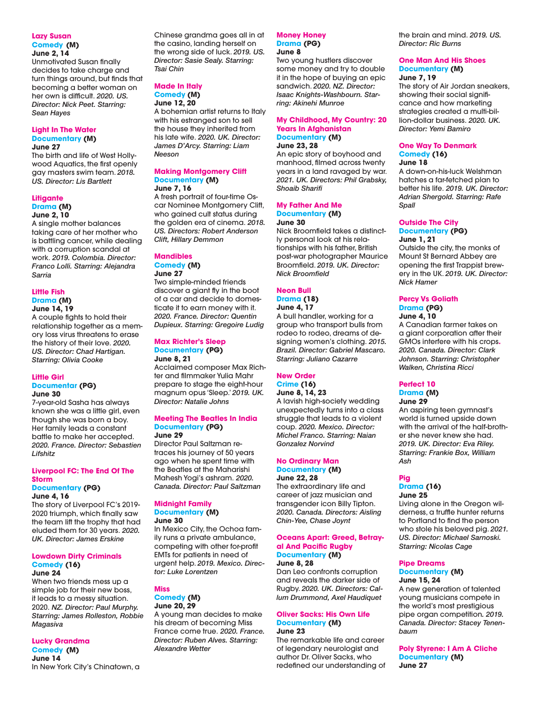### **Lazy Susan Comedy (M) June 2, 14**

Unmotivated Susan finally decides to take charge and turn things around, but finds that becoming a better woman on her own is difficult. *2020. US. Director: Nick Peet. Starring: Sean Hayes*

## **Light In The Water Documentary (M)**

#### **June 27**

The birth and life of West Hollywood Aquatics, the first openly gay masters swim team. *2018. US. Director: Lis Bartlett*

## **Litigante Drama (M)**

## **June 2, 10**

A single mother balances taking care of her mother who is battling cancer, while dealing with a corruption scandal at work. *2019. Colombia. Director: Franco Lolli. Starring: Alejandra Sarria*

## **Little Fish Drama (M)**

## **June 14, 19** A couple fights to hold their relationship together as a mem-

ory loss virus threatens to erase the history of their love. *2020. US. Director: Chad Hartigan. Starring: Olivia Cooke*

## **Little Girl Documentar (PG)**

#### **June 30**

7-year-old Sasha has always known she was a little girl, even though she was born a boy. Her family leads a constant battle to make her accepted. *2020. France. Director: Sebastien Lifshitz*

## **Liverpool FC: The End Of The Storm**

#### **Documentary (PG) June 4, 16**

The story of Liverpool FC's 2019- 2020 triumph, which finally saw the team lift the trophy that had eluded them for 30 years. *2020. UK. Director: James Erskine*

## **Lowdown Dirty Criminals Comedy (16)**

## **June 24**

When two friends mess up a simple job for their new boss, it leads to a messy situation. 2020. *NZ. Director: Paul Murphy. Starring: James Rolleston, Robbie Magasiva*

## **Lucky Grandma**

**Comedy (M) June 14** In New York City's Chinatown, a Chinese grandma goes all in at the casino, landing herself on the wrong side of luck. *2019. US. Director: Sasie Sealy. Starring: Tsai Chin*

## **Made In Italy Comedy (M) June 12, 20**

A bohemian artist returns to Italy with his estranged son to sell the house they inherited from his late wife. *2020. UK. Director: James D'Arcy. Starring: Liam Neeson*

## **Making Montgomery Clift Documentary (M)**

**June 7, 16**

A fresh portrait of four-time Oscar Nominee Montgomery Clift, who gained cult status during the golden era of cinema. *2018. US. Directors: Robert Anderson Clift, Hillary Demmon*

## **Mandibles**

**Comedy (M) June 27**

Two simple-minded friends discover a giant fly in the boot of a car and decide to domesticate it to earn money with it. *2020. France. Director: Quentin Dupieux. Starring: Gregoire Ludig*

#### **Max Richter's Sleep Documentary (PG) June 8, 21**

Acclaimed composer Max Richter and filmmaker Yulia Mahr prepare to stage the eight-hour magnum opus 'Sleep.' *2019. UK. Director: Natalie Johns*

#### **Meeting The Beatles In India Documentary (PG) June 29**

Director Paul Saltzman retraces his journey of 50 years ago when he spent time with the Beatles at the Maharishi Mahesh Yogi's ashram. *2020. Canada. Director: Paul Saltzman*

## **Midnight Family**

## **Documentary (M)**

**June 30**

In Mexico City, the Ochoa family runs a private ambulance, competing with other for-profit EMTs for patients in need of urgent help. *2019. Mexico. Director: Luke Lorentzen*

## **Miss**

#### **Comedy (M) June 20, 29**

A young man decides to make his dream of becoming Miss France come true. *2020. France. Director: Ruben Alves. Starring: Alexandre Wetter*

## **Money Honey Drama (PG) June 8**

Two young hustlers discover some money and try to double it in the hope of buying an epic sandwich. *2020. NZ. Director: Isaac Knights-Washbourn. Starring: Akinehi Munroe* 

#### **My Childhood, My Country: 20 Years In Afghanistan Documentary (M) June 23, 28**

An epic story of boyhood and manhood, filmed across twenty years in a land ravaged by war. *2021. UK. Directors: Phil Grabsky, Shoaib Sharifi*

## **My Father And Me Documentary (M) June 30**

Nick Broomfield takes a distinctly personal look at his relationships with his father, British post-war photographer Maurice Broomfield. *2019. UK. Director: Nick Broomfield*

## **Neon Bull Drama (18)**

**June 4, 17**

A bull handler, working for a group who transport bulls from rodeo to rodeo, dreams of designing women's clothing. *2015. Brazil. Director: Gabriel Mascaro. Starring: Juliano Cazarre*

## **New Order Crime (16) June 8, 14, 23**

A lavish high-society wedding unexpectedly turns into a class struggle that leads to a violent coup. *2020. Mexico. Director: Michel Franco. Starring: Naian Gonzalez Norvind*

## **No Ordinary Man Documentary (M) June 22, 28**

The extraordinary life and career of jazz musician and transgender icon Billy Tipton. *2020. Canada. Directors: Aisling Chin-Yee, Chase Joynt*

#### **Oceans Apart: Greed, Betrayal And Pacific Rugby Documentary (M) June 8, 28**

Dan Leo confronts corruption and reveals the darker side of Rugby. *2020. UK. Directors: Callum Drummond, Axel Haudiquet*

## **Oliver Sacks: His Own Life Documentary (M) June 23**

The remarkable life and career of legendary neurologist and author Dr. Oliver Sacks, who redefined our understanding of the brain and mind. *2019. US. Director: Ric Burns*

## **One Man And His Shoes Documentary (M) June 7, 19**

The story of Air Jordan sneakers, showing their social significance and how marketing strategies created a multi-billion-dollar business. *2020. UK. Director: Yemi Bamiro*

#### **One Way To Denmark Comedy (16) June 18**

A down-on-his-luck Welshman hatches a far-fetched plan to better his life. *2019. UK. Director: Adrian Shergold. Starring: Rafe Spall*

#### **Outside The City Documentary (PG) June 1, 21**

Outside the city, the monks of Mount St Bernard Abbey are opening the first Trappist brewery in the UK. *2019. UK. Director: Nick Hamer*

## **Percy Vs Goliath Drama (PG) June 4, 10**

A Canadian farmer takes on a giant corporation after their GMOs interfere with his crops**.**  *2020. Canada. Director: Clark Johnson. Starring: Christopher Walken, Christina Ricci*

## **Perfect 10 Drama (M) June 29**

An aspiring teen gymnast's world is turned upside down with the arrival of the half-brother she never knew she had. *2019. UK. Director: Eva Riley. Starring: Frankie Box, William Ash*

## **Pig Drama (16)**

## **June 25**

Living alone in the Oregon wilderness, a truffle hunter returns to Portland to find the person who stole his beloved pig. *2021. US. Director: Michael Sarnoski. Starring: Nicolas Cage*

## **Pipe Dreams Documentary (M) June 15, 24**

A new generation of talented young musicians compete in the world's most prestigious pipe organ competition*. 2019. Canada. Director: Stacey Tenenbaum*

**Poly Styrene: I Am A Cliche Documentary (M) June 27**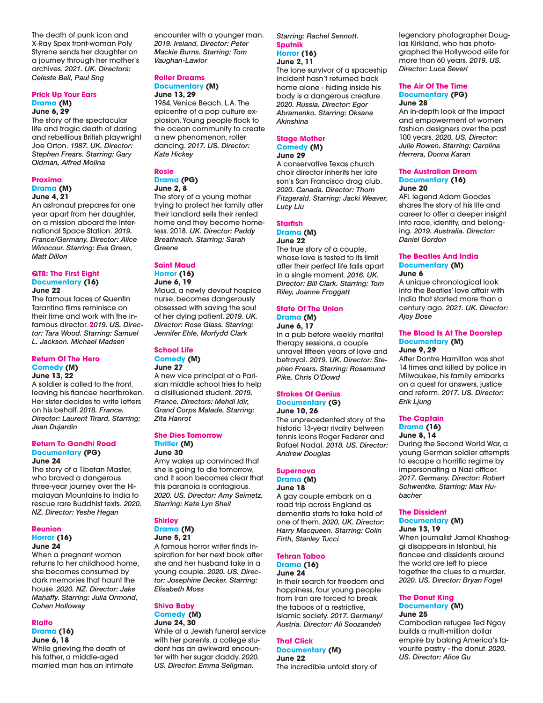The death of punk icon and X-Ray Spex front-woman Poly Styrene sends her daughter on a journey through her mother's archives. *2021. UK. Directors: Celeste Bell, Paul Sng*

### **Prick Up Your Ears Drama (M) June 6, 29**

The story of the spectacular life and tragic death of daring and rebellious British playwright Joe Orton. *1987. UK. Director: Stephen Frears. Starring: Gary Oldman, Alfred Molina*

## **Proxima Drama (M)**

## **June 4, 21**

An astronaut prepares for one year apart from her daughter, on a mission aboard the International Space Station. *2019. France/Germany. Director: Alice Winocour. Starring: Eva Green, Matt Dillon*

#### **QT8: The First Eight Documentary (16) June 22**

The famous faces of Quentin Tarantino films reminisce on their time and work with the infamous director. **2***019. US. Director: Tara Wood. Starring: Samuel L. Jackson. Michael Madsen*

#### **Return Of The Hero Comedy (M) June 13, 22**

A soldier is called to the front, leaving his fiancee heartbroken. Her sister decides to write letters on his behalf. *2018. France. Director: Laurent Tirard. Starring: Jean Dujardin*

#### **Return To Gandhi Road Documentary (PG) June 24**

The story of a Tibetan Master, who braved a dangerous three-year journey over the Himalayan Mountains to India to rescue rare Buddhist texts. *2020. NZ. Director: Yeshe Hegan*

#### **Reunion Horror (16) June 24**

When a pregnant woman returns to her childhood home, she becomes consumed by dark memories that haunt the house. *2020. NZ. Director: Jake Mahaffy. Starring: Julia Ormond, Cohen Holloway*

## **Rialto**

**Drama (16) June 6, 18** While grieving the death of his father, a middle-aged

married man has an intimate

encounter with a younger man. *2019. Ireland. Director: Peter Mackie Burns. Starring: Tom Vaughan-Lawlor*

## **Roller Dreams**

## **Documentary (M) June 13, 29**

1984, Venice Beach, L.A. The epicentre of a pop culture explosion. Young people flock to the ocean community to create a new phenomenon, roller dancing. *2017. US. Director: Kate Hickey*

## **Rosie**

#### **Drama (PG) June 2, 8**

The story of a young mother trying to protect her family after their landlord sells their rented home and they become homeless. 2018. *UK. Director: Paddy Breathnach. Starring: Sarah Greene*

## **Saint Maud Horror (16)**

**June 6, 19** Maud, a newly devout hospice nurse, becomes dangerously obsessed with saving the soul of her dying patient. *2019. UK. Director: Rose Glass. Starring: Jennifer Ehle, Morfydd Clark*

## **School Life**

**Comedy (M) June 27**

A new vice principal at a Parisian middle school tries to help a disillusioned student. *2019. France. Directors: Mehdi Idir, Grand Corps Malade. Starring: Zita Hanrot*

## **She Dies Tomorrow**

#### **Thriller (M) June 30**

Amy wakes up convinced that she is going to die tomorrow, and it soon becomes clear that this paranoia is contagious. *2020. US. Director: Amy Seimetz. Starring: Kate Lyn Sheil*

## **Shirley**

## **Drama (M)**

**June 5, 21** A famous horror writer finds inspiration for her next book after she and her husband take in a young couple. *2020. US. Director: Josephine Decker. Starring: Elisabeth Moss*

## **Shiva Baby Comedy (M)**

**June 24, 30**

While at a Jewish funeral service with her parents, a college student has an awkward encounter with her sugar daddy. *2020. US. Director: Emma Seligman.* 

*Starring: Rachel Sennott.* **Sputnik Horror (16)**

## **June 2, 11**

The lone survivor of a spaceship incident hasn't returned back home alone - hiding inside his body is a dangerous creature. *2020. Russia. Director: Egor Abramenko. Starring: Oksana Akinshina*

#### **Stage Mother Comedy (M) June 29**

A conservative Texas church choir director inherits her late son's San Francisco drag club. *2020. Canada. Director: Thom Fitzgerald. Starring: Jacki Weaver, Lucy Liu*

## **Starfish**

#### **Drama (M) June 22**

The true story of a couple, whose love is tested to its limit after their perfect life falls apart in a single moment. *2016. UK. Director: Bill Clark. Starring: Tom Riley, Joanne Froggatt*

#### **State Of The Union Drama (M) June 6, 17**

In a pub before weekly marital therapy sessions, a couple unravel fifteen years of love and betrayal. *2019. UK. Director: Stephen Frears. Starring: Rosamund Pike, Chris O'Dowd*

## **Strokes Of Genius Documentary (G)**

**June 10, 26** The unprecedented story of the historic 13-year rivalry between tennis icons Roger Federer and Rafael Nadal. *2018. US. Director: Andrew Douglas*

## **Supernova Drama (M) June 18**

A gay couple embark on a road trip across England as dementia starts to take hold of one of them. *2020. UK. Director: Harry Macqueen. Starring: Colin Firth, Stanley Tucci*

#### **Tehran Taboo Drama (16) June 24**

In their search for freedom and happiness, four young people from Iran are forced to break the taboos of a restrictive, islamic society. *2017. Germany/ Austria. Director: Ali Soozandeh*

## **That Click Documentary (M) June 22**

The incredible untold story of

legendary photographer Douglas Kirkland, who has photographed the Hollywood elite for more than 60 years. *2019. US. Director: Luca Severi*

## **The Air Of The Time Documentary (PG) June 28**

An in-depth look at the impact and empowerment of women fashion designers over the past 100 years. *2020. US. Director: Julie Rowen. Starring: Carolina Herrera, Donna Karan*

## **The Australian Dream Documentary (16) June 20**

AFL legend Adam Goodes shares the story of his life and career to offer a deeper insight into race, identity, and belonging. *2019. Australia. Director: Daniel Gordon*

## **The Beatles And India Documentary (M) June 6**

A unique chronological look into the Beatles' love affair with India that started more than a century ago. *2021. UK. Director: Ajoy Bose*

#### **The Blood Is At The Doorstep Documentary (M) June 9, 29**

After Dontre Hamilton was shot 14 times and killed by police in Milwaukee, his family embarks on a quest for answers, justice and reform. *2017. US. Director: Erik Ljung*

## **The Captain Drama (16)**

**June 8, 14** During the Second World War, a young German soldier attempts to escape a horrific regime by impersonating a Nazi officer. *2017. Germany. Director: Robert Schwentke. Starring: Max Hubacher*

## **The Dissident Documentary (M)**

**June 13, 19** When journalist Jamal Khashoggi disappears in Istanbul, his fiancee and dissidents around the world are left to piece together the clues to a murder.

*2020. US. Director: Bryan Fogel*

## **The Donut King Documentary (M) June 25**

Cambodian refugee Ted Ngoy builds a multi-million dollar empire by baking America's favourite pastry - the donut. *2020. US. Director: Alice Gu*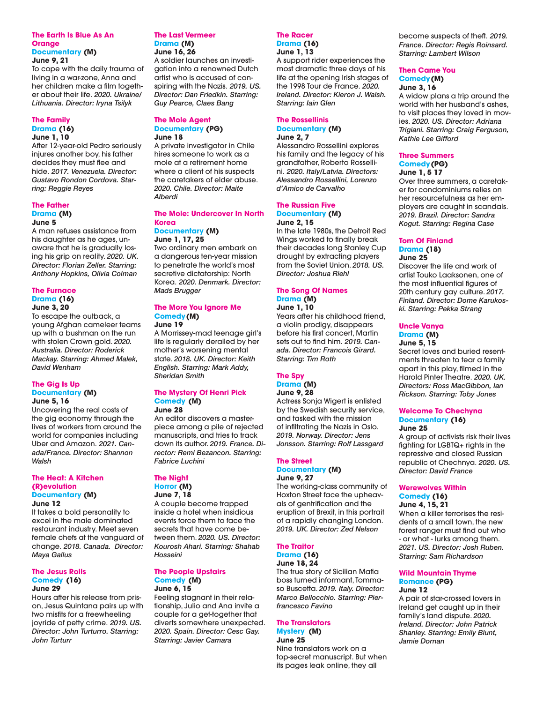#### **The Earth Is Blue As An Orange Documentary (M) June 9, 21**

To cope with the daily trauma of living in a war-zone, Anna and her children make a film together about their life. *2020. Ukraine/ Lithuania. Director: Iryna Tsilyk*

## **The Family Drama (16) June 1, 10**

After 12-year-old Pedro seriously injures another boy, his father decides they must flee and hide. *2017. Venezuela. Director: Gustavo Rondon Cordova. Starring: Reggie Reyes*

### **The Father Drama (M)**

## **June 5**

A man refuses assistance from his daughter as he ages, unaware that he is gradually losing his grip on reality. *2020. UK. Director: Florian Zeller. Starring: Anthony Hopkins, Olivia Colman*

#### **The Furnace Drama (16) June 3, 20**

To escape the outback, a young Afghan cameleer teams up with a bushman on the run with stolen Crown gold. *2020. Australia. Director: Roderick Mackay. Starring: Ahmed Malek, David Wenham*

## **The Gig Is Up Documentary (M)**

**June 5, 16**

Uncovering the real costs of the gig economy through the lives of workers from around the world for companies including Uber and Amazon. *2021. Canada/France. Director: Shannon Walsh*

## **The Heat: A Kitchen (R)evolution Documentary (M) June 12**

It takes a bold personality to excel in the male dominated restaurant industry. Meet seven female chefs at the vanguard of change. *2018. Canada. Director: Maya Gallus*

## **The Jesus Rolls Comedy (16) June 29**

Hours after his release from prison, Jesus Quintana pairs up with two misfits for a freewheeling joyride of petty crime. *2019. US. Director: John Turturro. Starring: John Turturr* 

## **The Last Vermeer Drama (M) June 16, 26**

A soldier launches an investigation into a renowned Dutch artist who is accused of conspiring with the Nazis. *2019. US. Director: Dan Friedkin. Starring: Guy Pearce, Claes Bang*

#### **The Mole Agent Documentary (PG) June 18**

A private investigator in Chile hires someone to work as a mole at a retirement home where a client of his suspects the caretakers of elder abuse. *2020. Chile. Director: Maite Alberdi*

## **The Mole: Undercover In North Korea**

#### **Documentary (M) June 1, 17, 25**

Two ordinary men embark on a dangerous ten-year mission to penetrate the world's most secretive dictatorship: North Korea. *2020. Denmark. Director: Mads Brugger*

## **The More You Ignore Me Comedy(M)**

**June 19**

A Morrissey-mad teenage girl's life is regularly derailed by her mother's worsening mental state. *2018. UK. Director: Keith English. Starring: Mark Addy, Sheridan Smith*

## **The Mystery Of Henri Pick Comedy (M) June 28**

An editor discovers a masterpiece among a pile of rejected manuscripts, and tries to track down its author. *2019. France. Director: Remi Bezancon. Starring: Fabrice Luchini*

## **The Night Horror (M) June 7, 18**

A couple become trapped inside a hotel when insidious events force them to face the secrets that have come between them. *2020. US. Director: Kourosh Ahari. Starring: Shahab Hosseini*

#### **The People Upstairs Comedy (M) June 6, 15**

Feeling stagnant in their relationship, Julio and Ana invite a couple for a get-together that diverts somewhere unexpected. *2020. Spain. Director: Cesc Gay. Starring: Javier Camara*

## **The Racer Drama (16) June 1, 13**

A support rider experiences the most dramatic three days of his life at the opening Irish stages of the 1998 Tour de France. *2020. Ireland. Director: Kieron J. Walsh. Starring: Iain Glen*

## **The Rossellinis Documentary (M) June 2, 7**

Alessandro Rossellini explores his family and the legacy of his grandfather, Roberto Rossellini. *2020. Italy/Latvia. Directors: Alessandro Rossellini, Lorenzo d'Amico de Carvalho*

#### **The Russian Five Documentary (M) June 2, 15**

In the late 1980s, the Detroit Red Wings worked to finally break their decades long Stanley Cup drought by extracting players from the Soviet Union. *2018. US. Director: Joshua Riehl*

## **The Song Of Names Drama (M) June 1, 10**

Years after his childhood friend, a violin prodigy, disappears before his first concert, Martin sets out to find him. *2019. Canada. Director: Francois Girard. Starring: Tim Roth*

## **The Spy Drama (M) June 9, 28**

Actress Sonja Wigert is enlisted by the Swedish security service, and tasked with the mission of infiltrating the Nazis in Oslo. *2019. Norway. Director: Jens Jonsson. Starring: Rolf Lassgard*

## **The Street Documentary (M)**

**June 9, 27**

The working-class community of Hoxton Street face the upheavals of gentrification and the eruption of Brexit, in this portrait of a rapidly changing London. *2019. UK. Director: Zed Nelson*

## **The Traitor Drama (16) June 18, 24**

The true story of Sicilian Mafia boss turned informant, Tommaso Buscetta. *2019. Italy. Director: Marco Bellocchio. Starring: Pierfrancesco Favino*

### **The Translators Mystery (M) June 25**

Nine translators work on a top-secret manuscript. But when its pages leak online, they all

become suspects of theft. *2019. France. Director: Regis Roinsard. Starring: Lambert Wilson*

#### **Then Came You Comedy(M) June 3, 16**

A widow plans a trip around the world with her husband's ashes, to visit places they loved in movies. *2020. US. Director: Adriana Trigiani. Starring: Craig Ferguson, Kathie Lee Gifford*

### **Three Summers Comedy(PG) June 1, 5 17**

Over three summers, a caretaker for condominiums relies on her resourcefulness as her employers are caught in scandals. *2019. Brazil. Director: Sandra Kogut. Starring: Regina Case*

#### **Tom Of Finland Drama (18) June 25**

Discover the life and work of artist Touko Laaksonen, one of the most influential figures of 20th century gay culture. *2017. Finland. Director: Dome Karukoski. Starring: Pekka Strang*

## **Uncle Vanya Drama (M) June 5, 15**

Secret loves and buried resentments threaten to tear a family apart in this play, filmed in the Harold Pinter Theatre. *2020. UK. Directors: Ross MacGibbon, Ian Rickson. Starring: Toby Jones*

## **Welcome To Chechyna Documentary (16) June 25**

A group of activists risk their lives fighting for LGBTQ+ rights in the repressive and closed Russian republic of Chechnya. *2020. US. Director: David France*

#### **Werewolves Within Comedy (16) June 4, 15, 21**

When a killer terrorises the residents of a small town, the new forest ranger must find out who - or what - lurks among them. *2021. US. Director: Josh Ruben. Starring: Sam Richardson*

## **Wild Mountain Thyme Romance (PG) June 12**

A pair of star-crossed lovers in Ireland get caught up in their family's land dispute. *2020. Ireland. Director: John Patrick Shanley. Starring: Emily Blunt, Jamie Dornan*